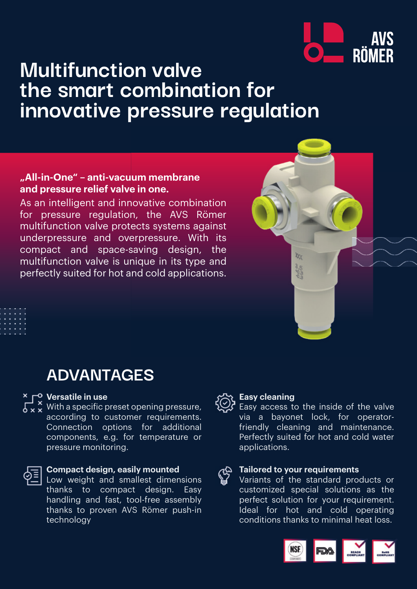

## **Multifunction valve the smart combination for innovative pressure regulation**

### **"All-in-One" – anti-vacuum membrane and pressure relief valve in one.**

As an intelligent and innovative combination for pressure regulation, the AVS Römer multifunction valve protects systems against underpressure and overpressure. With its compact and space-saving design, the multifunction valve is unique in its type and perfectly suited for hot and cold applications.



## **ADVANTAGES**

#### **Versatile in use**

With a specific preset opening pressure, according to customer requirements. Connection options for additional components, e.g. for temperature or pressure monitoring.



#### **Compact design, easily mounted**

Low weight and smallest dimensions thanks to compact design. Easy handling and fast, tool-free assembly thanks to proven AVS Römer push-in technology

#### **Easy cleaning**

Easy access to the inside of the valve via a bayonet lock, for operatorfriendly cleaning and maintenance. Perfectly suited for hot and cold water applications.

# **Tailored to your requirements**

Variants of the standard products or customized special solutions as the perfect solution for your requirement. Ideal for hot and cold operating conditions thanks to minimal heat loss.